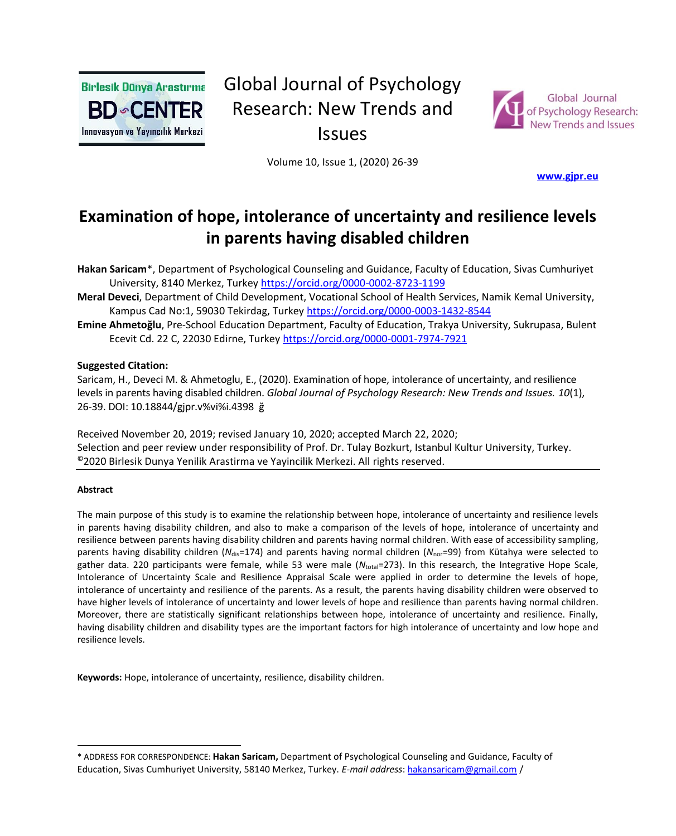

# Global Journal of Psychology Research: New Trends and Issues



Volume 10, Issue 1, (2020) 26-39

**[www.gjpr.eu](http://www.gjpr.eu/)** 

# **Examination of hope, intolerance of uncertainty and resilience levels in parents having disabled children**

**Hakan Saricam**\*, Department of Psychological Counseling and Guidance, Faculty of Education, Sivas Cumhuriyet University, 8140 Merkez, Turkey <https://orcid.org/0000-0002-8723-1199>

**Meral Deveci**, Department of Child Development, Vocational School of Health Services, Namik Kemal University, Kampus Cad No:1, 59030 Tekirdag, Turkey <https://orcid.org/0000-0003-1432-8544>

**Emine Ahmetoğlu**, Pre-School Education Department, Faculty of Education, Trakya University, Sukrupasa, Bulent Ecevit Cd. 22 C, 22030 Edirne, Turkey <https://orcid.org/0000-0001-7974-7921>

#### **Suggested Citation:**

Saricam, H., Deveci M. & Ahmetoglu, E., (2020). Examination of hope, intolerance of uncertainty, and resilience levels in parents having disabled children. *Global Journal of Psychology Research: New Trends and Issues. 10*(1), 26-39. DOI: 10.18844/gjpr.v%vi%i.4398 ğ

Received November 20, 2019; revised January 10, 2020; accepted March 22, 2020; Selection and peer review under responsibility of Prof. Dr. Tulay Bozkurt, Istanbul Kultur University, Turkey. ©2020 Birlesik Dunya Yenilik Arastirma ve Yayincilik Merkezi. All rights reserved.

#### **Abstract**

The main purpose of this study is to examine the relationship between hope, intolerance of uncertainty and resilience levels in parents having disability children, and also to make a comparison of the levels of hope, intolerance of uncertainty and resilience between parents having disability children and parents having normal children. With ease of accessibility sampling, parents having disability children (*N*<sub>dis</sub>=174) and parents having normal children (*N<sub>nor</sub>*=99) from Kütahya were selected to gather data. 220 participants were female, while 53 were male (N<sub>total</sub>=273). In this research, the Integrative Hope Scale, Intolerance of Uncertainty Scale and Resilience Appraisal Scale were applied in order to determine the levels of hope, intolerance of uncertainty and resilience of the parents. As a result, the parents having disability children were observed to have higher levels of intolerance of uncertainty and lower levels of hope and resilience than parents having normal children. Moreover, there are statistically significant relationships between hope, intolerance of uncertainty and resilience. Finally, having disability children and disability types are the important factors for high intolerance of uncertainty and low hope and resilience levels.

**Keywords:** Hope, intolerance of uncertainty, resilience, disability children.

<sup>\*</sup> ADDRESS FOR CORRESPONDENCE: **Hakan Saricam,** Department of Psychological Counseling and Guidance, Faculty of Education, Sivas Cumhuriyet University, 58140 Merkez, Turkey. *E-mail address*: hakansaricam@gmail.com /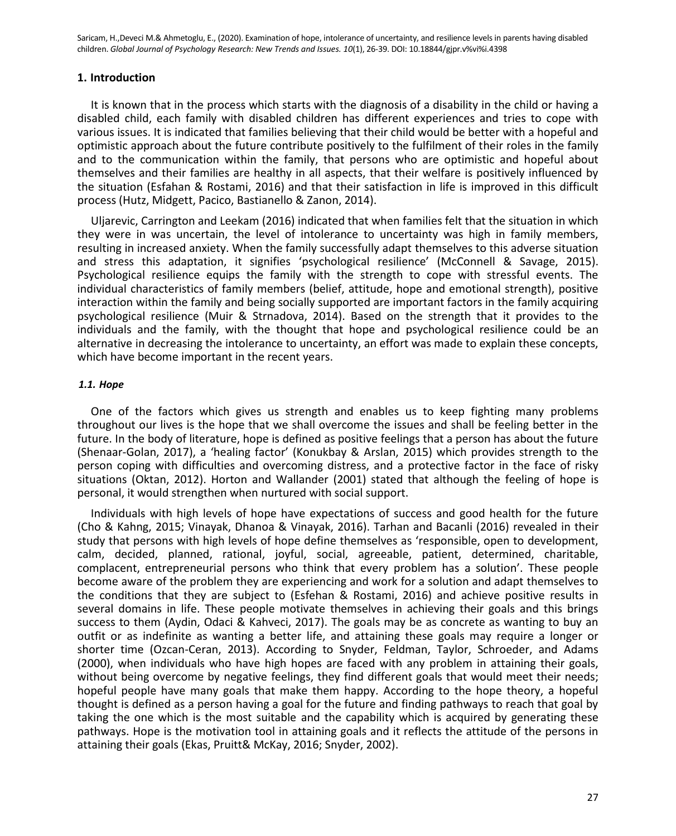#### **1. Introduction**

It is known that in the process which starts with the diagnosis of a disability in the child or having a disabled child, each family with disabled children has different experiences and tries to cope with various issues. It is indicated that families believing that their child would be better with a hopeful and optimistic approach about the future contribute positively to the fulfilment of their roles in the family and to the communication within the family, that persons who are optimistic and hopeful about themselves and their families are healthy in all aspects, that their welfare is positively influenced by the situation (Esfahan & Rostami, 2016) and that their satisfaction in life is improved in this difficult process (Hutz, Midgett, Pacico, Bastianello & Zanon, 2014).

Uljarevic, Carrington and Leekam (2016) indicated that when families felt that the situation in which they were in was uncertain, the level of intolerance to uncertainty was high in family members, resulting in increased anxiety. When the family successfully adapt themselves to this adverse situation and stress this adaptation, it signifies 'psychological resilience' (McConnell & Savage, 2015). Psychological resilience equips the family with the strength to cope with stressful events. The individual characteristics of family members (belief, attitude, hope and emotional strength), positive interaction within the family and being socially supported are important factors in the family acquiring psychological resilience (Muir & Strnadova, 2014). Based on the strength that it provides to the individuals and the family, with the thought that hope and psychological resilience could be an alternative in decreasing the intolerance to uncertainty, an effort was made to explain these concepts, which have become important in the recent years.

## *1.1. Hope*

One of the factors which gives us strength and enables us to keep fighting many problems throughout our lives is the hope that we shall overcome the issues and shall be feeling better in the future. In the body of literature, hope is defined as positive feelings that a person has about the future (Shenaar-Golan, 2017), a 'healing factor' (Konukbay & Arslan, 2015) which provides strength to the person coping with difficulties and overcoming distress, and a protective factor in the face of risky situations (Oktan, 2012). Horton and Wallander (2001) stated that although the feeling of hope is personal, it would strengthen when nurtured with social support.

Individuals with high levels of hope have expectations of success and good health for the future (Cho & Kahng, 2015; Vinayak, Dhanoa & Vinayak, 2016). Tarhan and Bacanli (2016) revealed in their study that persons with high levels of hope define themselves as 'responsible, open to development, calm, decided, planned, rational, joyful, social, agreeable, patient, determined, charitable, complacent, entrepreneurial persons who think that every problem has a solution'. These people become aware of the problem they are experiencing and work for a solution and adapt themselves to the conditions that they are subject to (Esfehan & Rostami, 2016) and achieve positive results in several domains in life. These people motivate themselves in achieving their goals and this brings success to them (Aydin, Odaci & Kahveci, 2017). The goals may be as concrete as wanting to buy an outfit or as indefinite as wanting a better life, and attaining these goals may require a longer or shorter time (Ozcan-Ceran, 2013). According to Snyder, Feldman, Taylor, Schroeder, and Adams (2000), when individuals who have high hopes are faced with any problem in attaining their goals, without being overcome by negative feelings, they find different goals that would meet their needs; hopeful people have many goals that make them happy. According to the hope theory, a hopeful thought is defined as a person having a goal for the future and finding pathways to reach that goal by taking the one which is the most suitable and the capability which is acquired by generating these pathways. Hope is the motivation tool in attaining goals and it reflects the attitude of the persons in attaining their goals (Ekas, Pruitt& McKay, 2016; Snyder, 2002).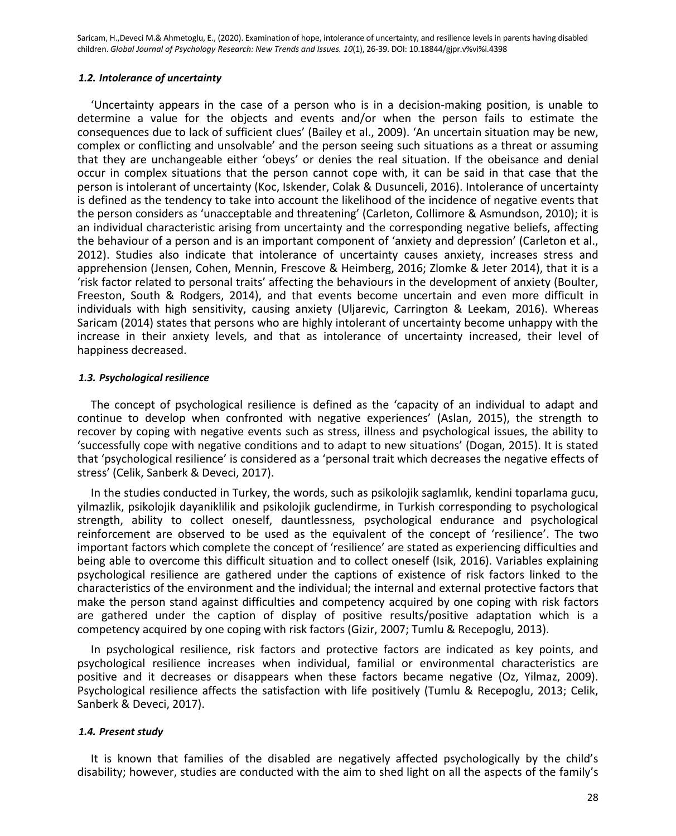#### *1.2. Intolerance of uncertainty*

'Uncertainty appears in the case of a person who is in a decision-making position, is unable to determine a value for the objects and events and/or when the person fails to estimate the consequences due to lack of sufficient clues' (Bailey et al., 2009). 'An uncertain situation may be new, complex or conflicting and unsolvable' and the person seeing such situations as a threat or assuming that they are unchangeable either 'obeys' or denies the real situation. If the obeisance and denial occur in complex situations that the person cannot cope with, it can be said in that case that the person is intolerant of uncertainty (Koc, Iskender, Colak & Dusunceli, 2016). Intolerance of uncertainty is defined as the tendency to take into account the likelihood of the incidence of negative events that the person considers as 'unacceptable and threatening' (Carleton, Collimore & Asmundson, 2010); it is an individual characteristic arising from uncertainty and the corresponding negative beliefs, affecting the behaviour of a person and is an important component of 'anxiety and depression' (Carleton et al., 2012). Studies also indicate that intolerance of uncertainty causes anxiety, increases stress and apprehension (Jensen, Cohen, Mennin, Frescove & Heimberg, 2016; Zlomke & Jeter 2014), that it is a 'risk factor related to personal traits' affecting the behaviours in the development of anxiety (Boulter, Freeston, South & Rodgers, 2014), and that events become uncertain and even more difficult in individuals with high sensitivity, causing anxiety (Uljarevic, Carrington & Leekam, 2016). Whereas Saricam (2014) states that persons who are highly intolerant of uncertainty become unhappy with the increase in their anxiety levels, and that as intolerance of uncertainty increased, their level of happiness decreased.

#### *1.3. Psychological resilience*

The concept of psychological resilience is defined as the 'capacity of an individual to adapt and continue to develop when confronted with negative experiences' (Aslan, 2015), the strength to recover by coping with negative events such as stress, illness and psychological issues, the ability to 'successfully cope with negative conditions and to adapt to new situations' (Dogan, 2015). It is stated that 'psychological resilience' is considered as a 'personal trait which decreases the negative effects of stress' (Celik, Sanberk & Deveci, 2017).

In the studies conducted in Turkey, the words, such as psikolojik saglamlık, kendini toparlama gucu, yilmazlik, psikolojik dayaniklilik and psikolojik guclendirme, in Turkish corresponding to psychological strength, ability to collect oneself, dauntlessness, psychological endurance and psychological reinforcement are observed to be used as the equivalent of the concept of 'resilience'. The two important factors which complete the concept of 'resilience' are stated as experiencing difficulties and being able to overcome this difficult situation and to collect oneself (Isik, 2016). Variables explaining psychological resilience are gathered under the captions of existence of risk factors linked to the characteristics of the environment and the individual; the internal and external protective factors that make the person stand against difficulties and competency acquired by one coping with risk factors are gathered under the caption of display of positive results/positive adaptation which is a competency acquired by one coping with risk factors (Gizir, 2007; Tumlu & Recepoglu, 2013).

In psychological resilience, risk factors and protective factors are indicated as key points, and psychological resilience increases when individual, familial or environmental characteristics are positive and it decreases or disappears when these factors became negative (Oz, Yilmaz, 2009). Psychological resilience affects the satisfaction with life positively (Tumlu & Recepoglu, 2013; Celik, Sanberk & Deveci, 2017).

#### *1.4. Present study*

It is known that families of the disabled are negatively affected psychologically by the child's disability; however, studies are conducted with the aim to shed light on all the aspects of the family's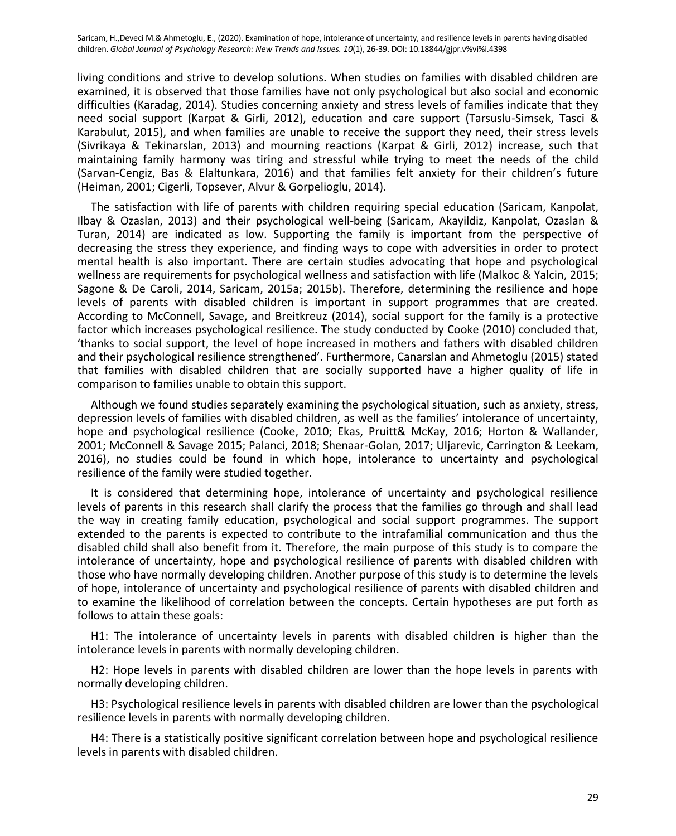living conditions and strive to develop solutions. When studies on families with disabled children are examined, it is observed that those families have not only psychological but also social and economic difficulties (Karadag, 2014). Studies concerning anxiety and stress levels of families indicate that they need social support (Karpat & Girli, 2012), education and care support (Tarsuslu-Simsek, Tasci & Karabulut, 2015), and when families are unable to receive the support they need, their stress levels (Sivrikaya & Tekinarslan, 2013) and mourning reactions (Karpat & Girli, 2012) increase, such that maintaining family harmony was tiring and stressful while trying to meet the needs of the child (Sarvan-Cengiz, Bas & Elaltunkara, 2016) and that families felt anxiety for their children's future (Heiman, 2001; Cigerli, Topsever, Alvur & Gorpelioglu, 2014).

The satisfaction with life of parents with children requiring special education (Saricam, Kanpolat, Ilbay & Ozaslan, 2013) and their psychological well-being (Saricam, Akayildiz, Kanpolat, Ozaslan & Turan, 2014) are indicated as low. Supporting the family is important from the perspective of decreasing the stress they experience, and finding ways to cope with adversities in order to protect mental health is also important. There are certain studies advocating that hope and psychological wellness are requirements for psychological wellness and satisfaction with life (Malkoc & Yalcin, 2015; Sagone & De Caroli, 2014, Saricam, 2015a; 2015b). Therefore, determining the resilience and hope levels of parents with disabled children is important in support programmes that are created. According to McConnell, Savage, and Breitkreuz (2014), social support for the family is a protective factor which increases psychological resilience. The study conducted by Cooke (2010) concluded that, 'thanks to social support, the level of hope increased in mothers and fathers with disabled children and their psychological resilience strengthened'. Furthermore, Canarslan and Ahmetoglu (2015) stated that families with disabled children that are socially supported have a higher quality of life in comparison to families unable to obtain this support.

Although we found studies separately examining the psychological situation, such as anxiety, stress, depression levels of families with disabled children, as well as the families' intolerance of uncertainty, hope and psychological resilience (Cooke, 2010; Ekas, Pruitt& McKay, 2016; Horton & Wallander, 2001; McConnell & Savage 2015; Palanci, 2018; Shenaar-Golan, 2017; Uljarevic, Carrington & Leekam, 2016), no studies could be found in which hope, intolerance to uncertainty and psychological resilience of the family were studied together.

It is considered that determining hope, intolerance of uncertainty and psychological resilience levels of parents in this research shall clarify the process that the families go through and shall lead the way in creating family education, psychological and social support programmes. The support extended to the parents is expected to contribute to the intrafamilial communication and thus the disabled child shall also benefit from it. Therefore, the main purpose of this study is to compare the intolerance of uncertainty, hope and psychological resilience of parents with disabled children with those who have normally developing children. Another purpose of this study is to determine the levels of hope, intolerance of uncertainty and psychological resilience of parents with disabled children and to examine the likelihood of correlation between the concepts. Certain hypotheses are put forth as follows to attain these goals:

H1: The intolerance of uncertainty levels in parents with disabled children is higher than the intolerance levels in parents with normally developing children.

H2: Hope levels in parents with disabled children are lower than the hope levels in parents with normally developing children.

H3: Psychological resilience levels in parents with disabled children are lower than the psychological resilience levels in parents with normally developing children.

H4: There is a statistically positive significant correlation between hope and psychological resilience levels in parents with disabled children.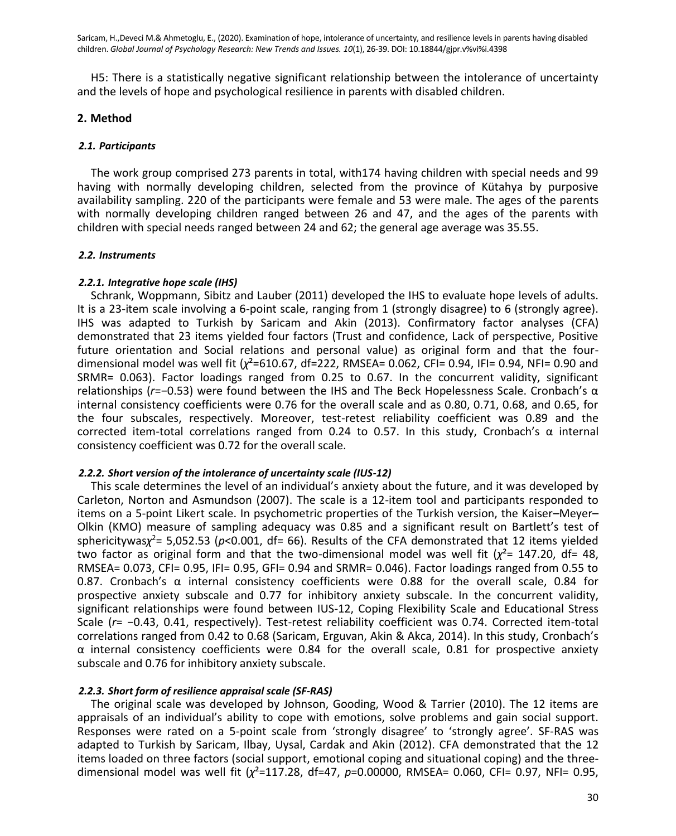H5: There is a statistically negative significant relationship between the intolerance of uncertainty and the levels of hope and psychological resilience in parents with disabled children.

# **2. Method**

# *2.1. Participants*

The work group comprised 273 parents in total, with174 having children with special needs and 99 having with normally developing children, selected from the province of Kütahya by purposive availability sampling. 220 of the participants were female and 53 were male. The ages of the parents with normally developing children ranged between 26 and 47, and the ages of the parents with children with special needs ranged between 24 and 62; the general age average was 35.55.

# *2.2. Instruments*

# *2.2.1. Integrative hope scale (IHS)*

Schrank, Woppmann, Sibitz and Lauber (2011) developed the IHS to evaluate hope levels of adults. It is a 23-item scale involving a 6-point scale, ranging from 1 (strongly disagree) to 6 (strongly agree). IHS was adapted to Turkish by Saricam and Akin (2013). Confirmatory factor analyses (CFA) demonstrated that 23 items yielded four factors (Trust and confidence, Lack of perspective, Positive future orientation and Social relations and personal value) as original form and that the fourdimensional model was well fit (*χ*²=610.67, df=222, RMSEA= 0.062, CFI= 0.94, IFI= 0.94, NFI= 0.90 and SRMR= 0.063). Factor loadings ranged from 0.25 to 0.67. In the concurrent validity, significant relationships (*r*=−0.53) were found between the IHS and The Beck Hopelessness Scale. Cronbach's α internal consistency coefficients were 0.76 for the overall scale and as 0.80, 0.71, 0.68, and 0.65, for the four subscales, respectively. Moreover, test-retest reliability coefficient was 0.89 and the corrected item-total correlations ranged from 0.24 to 0.57. In this study, Cronbach's α internal consistency coefficient was 0.72 for the overall scale.

## *2.2.2. Short version of the intolerance of uncertainty scale (IUS-12)*

This scale determines the level of an individual's anxiety about the future, and it was developed by Carleton, Norton and Asmundson (2007). The scale is a 12-item tool and participants responded to items on a 5-point Likert scale. In psychometric properties of the Turkish version, the Kaiser–Meyer– Olkin (KMO) measure of sampling adequacy was 0.85 and a significant result on Bartlett's test of sphericitywas*χ* <sup>2</sup>= 5,052.53 (*p*<0.001, df= 66). Results of the CFA demonstrated that 12 items yielded two factor as original form and that the two-dimensional model was well fit  $(\chi^2 = 147.20, d = 48)$ RMSEA= 0.073, CFI= 0.95, IFI= 0.95, GFI= 0.94 and SRMR= 0.046). Factor loadings ranged from 0.55 to 0.87. Cronbach's α internal consistency coefficients were 0.88 for the overall scale, 0.84 for prospective anxiety subscale and 0.77 for inhibitory anxiety subscale. In the concurrent validity, significant relationships were found between IUS-12, Coping Flexibility Scale and Educational Stress Scale (*r*= −0.43, 0.41, respectively). Test-retest reliability coefficient was 0.74. Corrected item-total correlations ranged from 0.42 to 0.68 (Saricam, Erguvan, Akin & Akca, 2014). In this study, Cronbach's  $α$  internal consistency coefficients were 0.84 for the overall scale, 0.81 for prospective anxiety subscale and 0.76 for inhibitory anxiety subscale.

## *2.2.3. Short form of resilience appraisal scale (SF-RAS)*

The original scale was developed by Johnson, Gooding, Wood & Tarrier (2010). The 12 items are appraisals of an individual's ability to cope with emotions, solve problems and gain social support. Responses were rated on a 5-point scale from 'strongly disagree' to 'strongly agree'. SF-RAS was adapted to Turkish by Saricam, Ilbay, Uysal, Cardak and Akin (2012). CFA demonstrated that the 12 items loaded on three factors (social support, emotional coping and situational coping) and the threedimensional model was well fit (*χ*²=117.28, df=47, *p*=0.00000, RMSEA= 0.060, CFI= 0.97, NFI= 0.95,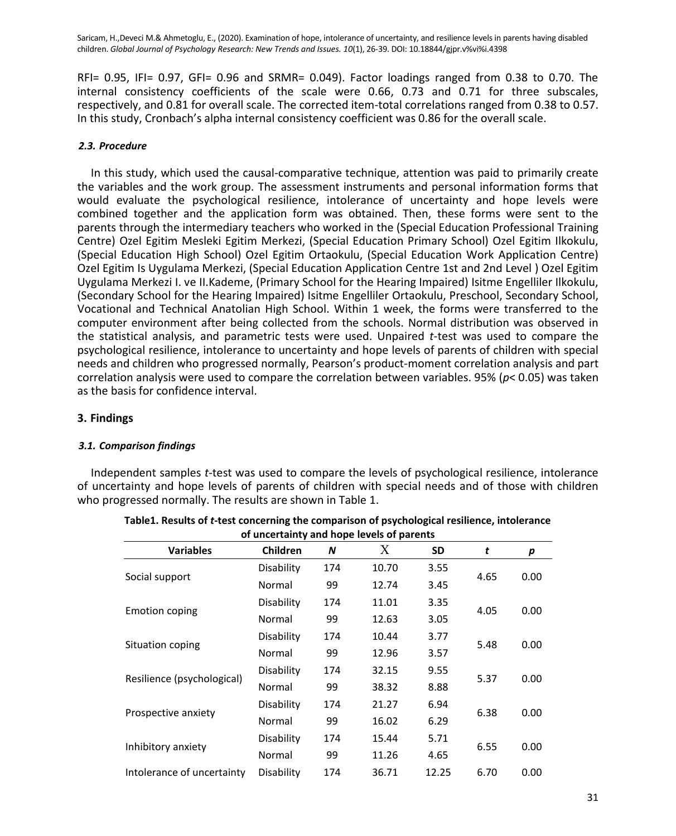RFI= 0.95, IFI= 0.97, GFI= 0.96 and SRMR= 0.049). Factor loadings ranged from 0.38 to 0.70. The internal consistency coefficients of the scale were 0.66, 0.73 and 0.71 for three subscales, respectively, and 0.81 for overall scale. The corrected item-total correlations ranged from 0.38 to 0.57. In this study, Cronbach's alpha internal consistency coefficient was 0.86 for the overall scale.

## *2.3. Procedure*

In this study, which used the causal-comparative technique, attention was paid to primarily create the variables and the work group. The assessment instruments and personal information forms that would evaluate the psychological resilience, intolerance of uncertainty and hope levels were combined together and the application form was obtained. Then, these forms were sent to the parents through the intermediary teachers who worked in the (Special Education Professional Training Centre) Ozel Egitim Mesleki Egitim Merkezi, (Special Education Primary School) Ozel Egitim Ilkokulu, (Special Education High School) Ozel Egitim Ortaokulu, (Special Education Work Application Centre) Ozel Egitim Is Uygulama Merkezi, (Special Education Application Centre 1st and 2nd Level ) Ozel Egitim Uygulama Merkezi I. ve II.Kademe, (Primary School for the Hearing Impaired) Isitme Engelliler Ilkokulu, (Secondary School for the Hearing Impaired) Isitme Engelliler Ortaokulu, Preschool, Secondary School, Vocational and Technical Anatolian High School. Within 1 week, the forms were transferred to the computer environment after being collected from the schools. Normal distribution was observed in the statistical analysis, and parametric tests were used. Unpaired *t*-test was used to compare the psychological resilience, intolerance to uncertainty and hope levels of parents of children with special needs and children who progressed normally, Pearson's product-moment correlation analysis and part correlation analysis were used to compare the correlation between variables. 95% (*p*< 0.05) was taken as the basis for confidence interval.

# **3. Findings**

## *3.1. Comparison findings*

Independent samples *t*-test was used to compare the levels of psychological resilience, intolerance of uncertainty and hope levels of parents of children with special needs and of those with children who progressed normally. The results are shown in Table 1.

|                            | of uncertainty and hope levels of parents |     |       |           |      |      |
|----------------------------|-------------------------------------------|-----|-------|-----------|------|------|
| <b>Variables</b>           | Children                                  | N   | X     | <b>SD</b> | t    | p    |
| Social support             | Disability                                | 174 | 10.70 | 3.55      |      | 0.00 |
|                            | Normal                                    | 99  | 12.74 | 3.45      | 4.65 |      |
| <b>Emotion coping</b>      | Disability                                | 174 | 11.01 | 3.35      |      | 0.00 |
|                            | Normal                                    | 99  | 12.63 | 3.05      | 4.05 |      |
| Situation coping           | Disability                                | 174 | 10.44 | 3.77      | 5.48 | 0.00 |
|                            | Normal                                    | 99  | 12.96 | 3.57      |      |      |
| Resilience (psychological) | Disability                                | 174 | 32.15 | 9.55      | 5.37 | 0.00 |
|                            | Normal                                    | 99  | 38.32 | 8.88      |      |      |
| Prospective anxiety        | Disability                                | 174 | 21.27 | 6.94      | 6.38 | 0.00 |
|                            | Normal                                    | 99  | 16.02 | 6.29      |      |      |
| Inhibitory anxiety         | Disability                                | 174 | 15.44 | 5.71      |      | 0.00 |
|                            | Normal                                    | 99  | 11.26 | 4.65      | 6.55 |      |
| Intolerance of uncertainty | Disability                                | 174 | 36.71 | 12.25     | 6.70 | 0.00 |

| Table1. Results of <i>t</i> -test concerning the comparison of psychological resilience, intolerance |
|------------------------------------------------------------------------------------------------------|
| of uncertainty and hope levels of parents                                                            |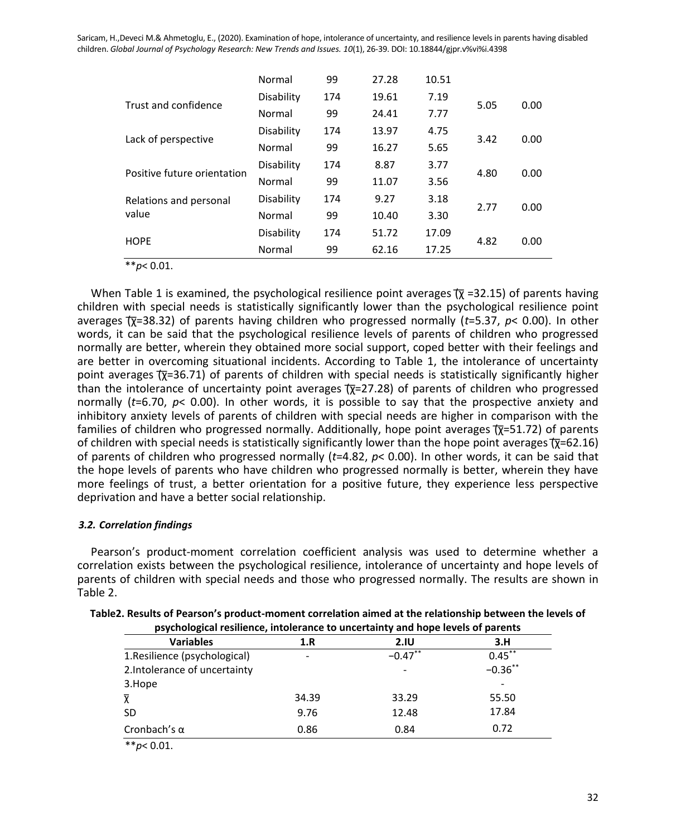|                                 | Normal     | 99  | 27.28 | 10.51 |      |      |
|---------------------------------|------------|-----|-------|-------|------|------|
| Trust and confidence            | Disability | 174 | 19.61 | 7.19  | 5.05 | 0.00 |
|                                 | Normal     | 99  | 24.41 | 7.77  |      |      |
| Lack of perspective             | Disability | 174 | 13.97 | 4.75  | 3.42 | 0.00 |
|                                 | Normal     | 99  | 16.27 | 5.65  |      |      |
| Positive future orientation     | Disability | 174 | 8.87  | 3.77  | 4.80 | 0.00 |
|                                 | Normal     | 99  | 11.07 | 3.56  |      |      |
| Relations and personal<br>value | Disability | 174 | 9.27  | 3.18  | 2.77 | 0.00 |
|                                 | Normal     | 99  | 10.40 | 3.30  |      |      |
| <b>HOPE</b>                     | Disability | 174 | 51.72 | 17.09 | 4.82 | 0.00 |
|                                 | Normal     | 99  | 62.16 | 17.25 |      |      |

\*\**p*< 0.01.

When Table 1 is examined, the psychological resilience point averages  $\overline{\chi}$  =32.15) of parents having children with special needs is statistically significantly lower than the psychological resilience point averages (͞χ=38.32) of parents having children who progressed normally (*t*=5.37, *p*< 0.00). In other words, it can be said that the psychological resilience levels of parents of children who progressed normally are better, wherein they obtained more social support, coped better with their feelings and are better in overcoming situational incidents. According to Table 1, the intolerance of uncertainty point averages  $(\overline{\chi}=36.71)$  of parents of children with special needs is statistically significantly higher than the intolerance of uncertainty point averages  $\overline{\chi}$ =27.28) of parents of children who progressed normally (*t*=6.70, *p*< 0.00). In other words, it is possible to say that the prospective anxiety and inhibitory anxiety levels of parents of children with special needs are higher in comparison with the families of children who progressed normally. Additionally, hope point averages  $\overline{\chi}$ =51.72) of parents of children with special needs is statistically significantly lower than the hope point averages  $\overline{\chi}$ =62.16) of parents of children who progressed normally (*t*=4.82, *p*< 0.00). In other words, it can be said that the hope levels of parents who have children who progressed normally is better, wherein they have more feelings of trust, a better orientation for a positive future, they experience less perspective deprivation and have a better social relationship.

## *3.2. Correlation findings*

Pearson's product-moment correlation coefficient analysis was used to determine whether a correlation exists between the psychological resilience, intolerance of uncertainty and hope levels of parents of children with special needs and those who progressed normally. The results are shown in Table 2.

| psychological resilience, intolerance to uncertainty and hope levels of parents |       |                          |            |
|---------------------------------------------------------------------------------|-------|--------------------------|------------|
| <b>Variables</b>                                                                | 1.R   | 2.IU                     | 3.H        |
| 1. Resilience (psychological)                                                   | -     | $-0.47$ **               | $0.45***$  |
| 2. Intolerance of uncertainty                                                   |       | $\overline{\phantom{a}}$ | $-0.36***$ |
| 3.Hope                                                                          |       |                          |            |
| $\overline{\chi}$                                                               | 34.39 | 33.29                    | 55.50      |
| SD                                                                              | 9.76  | 12.48                    | 17.84      |
| Cronbach's $\alpha$                                                             | 0.86  | 0.84                     | 0.72       |
| ممماسي                                                                          |       |                          |            |

| Table2. Results of Pearson's product-moment correlation aimed at the relationship between the levels of |
|---------------------------------------------------------------------------------------------------------|
| المغمومات والمربول وموما المعادية والمتواصل ومستوا والمعارض ومستحللهم المواصل والمستحير                 |

<sup>\*\*</sup>*p*< 0.01.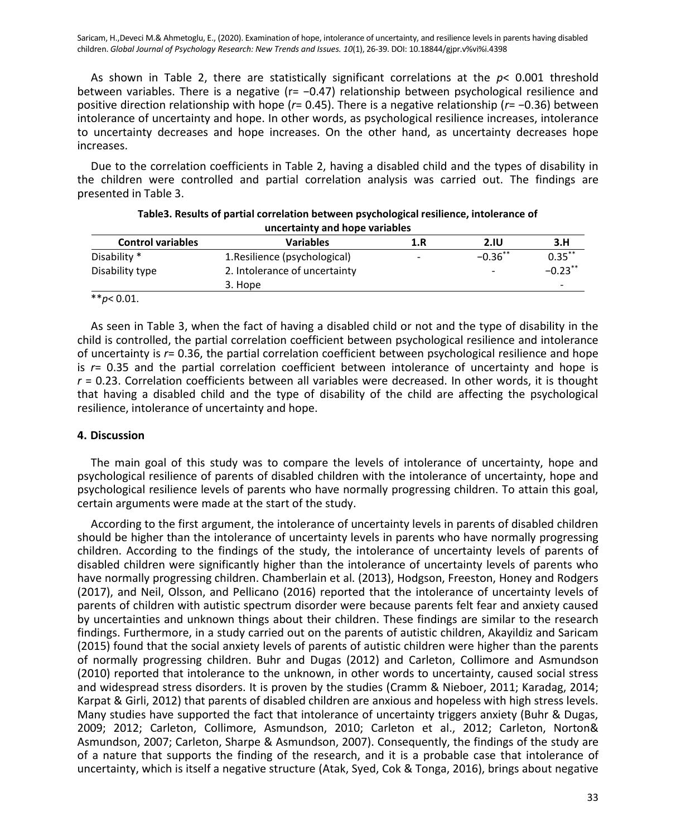As shown in Table 2, there are statistically significant correlations at the *p*< 0.001 threshold between variables. There is a negative (r= −0.47) relationship between psychological resilience and positive direction relationship with hope (*r*= 0.45). There is a negative relationship (*r*= −0.36) between intolerance of uncertainty and hope. In other words, as psychological resilience increases, intolerance to uncertainty decreases and hope increases. On the other hand, as uncertainty decreases hope increases.

Due to the correlation coefficients in Table 2, having a disabled child and the types of disability in the children were controlled and partial correlation analysis was carried out. The findings are presented in Table 3.

|                          | ancertainty and nope variables |     |             |            |
|--------------------------|--------------------------------|-----|-------------|------------|
| <b>Control variables</b> | <b>Variables</b>               | 1.R | <b>2.IU</b> | 3.H        |
| Disability *             | 1. Resilience (psychological)  | -   | $-0.36$ **  | $0.35***$  |
| Disability type          | 2. Intolerance of uncertainty  |     | -           | $-0.23$ ** |
|                          | 3. Hope                        |     |             | -          |
| ** $p$ < 0.01.           |                                |     |             |            |

| Table 3. Results of partial correlation between psychological resilience, intolerance of |
|------------------------------------------------------------------------------------------|
| uncertainty and hope variables                                                           |

As seen in Table 3, when the fact of having a disabled child or not and the type of disability in the child is controlled, the partial correlation coefficient between psychological resilience and intolerance of uncertainty is *r*= 0.36, the partial correlation coefficient between psychological resilience and hope is *r*= 0.35 and the partial correlation coefficient between intolerance of uncertainty and hope is *r* = 0.23. Correlation coefficients between all variables were decreased. In other words, it is thought that having a disabled child and the type of disability of the child are affecting the psychological resilience, intolerance of uncertainty and hope.

## **4. Discussion**

The main goal of this study was to compare the levels of intolerance of uncertainty, hope and psychological resilience of parents of disabled children with the intolerance of uncertainty, hope and psychological resilience levels of parents who have normally progressing children. To attain this goal, certain arguments were made at the start of the study.

According to the first argument, the intolerance of uncertainty levels in parents of disabled children should be higher than the intolerance of uncertainty levels in parents who have normally progressing children. According to the findings of the study, the intolerance of uncertainty levels of parents of disabled children were significantly higher than the intolerance of uncertainty levels of parents who have normally progressing children. Chamberlain et al. (2013), Hodgson, Freeston, Honey and Rodgers (2017), and Neil, Olsson, and Pellicano (2016) reported that the intolerance of uncertainty levels of parents of children with autistic spectrum disorder were because parents felt fear and anxiety caused by uncertainties and unknown things about their children. These findings are similar to the research findings. Furthermore, in a study carried out on the parents of autistic children, Akayildiz and Saricam (2015) found that the social anxiety levels of parents of autistic children were higher than the parents of normally progressing children. Buhr and Dugas (2012) and Carleton, Collimore and Asmundson (2010) reported that intolerance to the unknown, in other words to uncertainty, caused social stress and widespread stress disorders. It is proven by the studies (Cramm & Nieboer, 2011; Karadag, 2014; Karpat & Girli, 2012) that parents of disabled children are anxious and hopeless with high stress levels. Many studies have supported the fact that intolerance of uncertainty triggers anxiety (Buhr & Dugas, 2009; 2012; Carleton, Collimore, Asmundson, 2010; Carleton et al., 2012; Carleton, Norton& Asmundson, 2007; Carleton, Sharpe & Asmundson, 2007). Consequently, the findings of the study are of a nature that supports the finding of the research, and it is a probable case that intolerance of uncertainty, which is itself a negative structure (Atak, Syed, Cok & Tonga, 2016), brings about negative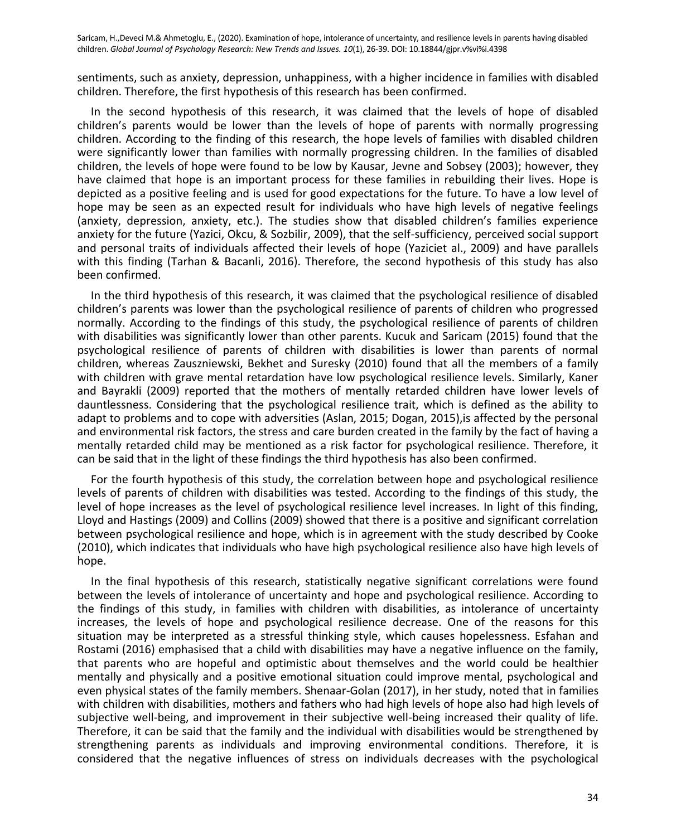sentiments, such as anxiety, depression, unhappiness, with a higher incidence in families with disabled children. Therefore, the first hypothesis of this research has been confirmed.

In the second hypothesis of this research, it was claimed that the levels of hope of disabled children's parents would be lower than the levels of hope of parents with normally progressing children. According to the finding of this research, the hope levels of families with disabled children were significantly lower than families with normally progressing children. In the families of disabled children, the levels of hope were found to be low by Kausar, Jevne and Sobsey (2003); however, they have claimed that hope is an important process for these families in rebuilding their lives. Hope is depicted as a positive feeling and is used for good expectations for the future. To have a low level of hope may be seen as an expected result for individuals who have high levels of negative feelings (anxiety, depression, anxiety, etc.). The studies show that disabled children's families experience anxiety for the future (Yazici, Okcu, & Sozbilir, 2009), that the self-sufficiency, perceived social support and personal traits of individuals affected their levels of hope (Yaziciet al., 2009) and have parallels with this finding (Tarhan & Bacanli, 2016). Therefore, the second hypothesis of this study has also been confirmed.

In the third hypothesis of this research, it was claimed that the psychological resilience of disabled children's parents was lower than the psychological resilience of parents of children who progressed normally. According to the findings of this study, the psychological resilience of parents of children with disabilities was significantly lower than other parents. Kucuk and Saricam (2015) found that the psychological resilience of parents of children with disabilities is lower than parents of normal children, whereas Zauszniewski, Bekhet and Suresky (2010) found that all the members of a family with children with grave mental retardation have low psychological resilience levels. Similarly, Kaner and Bayrakli (2009) reported that the mothers of mentally retarded children have lower levels of dauntlessness. Considering that the psychological resilience trait, which is defined as the ability to adapt to problems and to cope with adversities (Aslan, 2015; Dogan, 2015),is affected by the personal and environmental risk factors, the stress and care burden created in the family by the fact of having a mentally retarded child may be mentioned as a risk factor for psychological resilience. Therefore, it can be said that in the light of these findings the third hypothesis has also been confirmed.

For the fourth hypothesis of this study, the correlation between hope and psychological resilience levels of parents of children with disabilities was tested. According to the findings of this study, the level of hope increases as the level of psychological resilience level increases. In light of this finding, Lloyd and Hastings (2009) and Collins (2009) showed that there is a positive and significant correlation between psychological resilience and hope, which is in agreement with the study described by Cooke (2010), which indicates that individuals who have high psychological resilience also have high levels of hope.

In the final hypothesis of this research, statistically negative significant correlations were found between the levels of intolerance of uncertainty and hope and psychological resilience. According to the findings of this study, in families with children with disabilities, as intolerance of uncertainty increases, the levels of hope and psychological resilience decrease. One of the reasons for this situation may be interpreted as a stressful thinking style, which causes hopelessness. Esfahan and Rostami (2016) emphasised that a child with disabilities may have a negative influence on the family, that parents who are hopeful and optimistic about themselves and the world could be healthier mentally and physically and a positive emotional situation could improve mental, psychological and even physical states of the family members. Shenaar-Golan (2017), in her study, noted that in families with children with disabilities, mothers and fathers who had high levels of hope also had high levels of subjective well-being, and improvement in their subjective well-being increased their quality of life. Therefore, it can be said that the family and the individual with disabilities would be strengthened by strengthening parents as individuals and improving environmental conditions. Therefore, it is considered that the negative influences of stress on individuals decreases with the psychological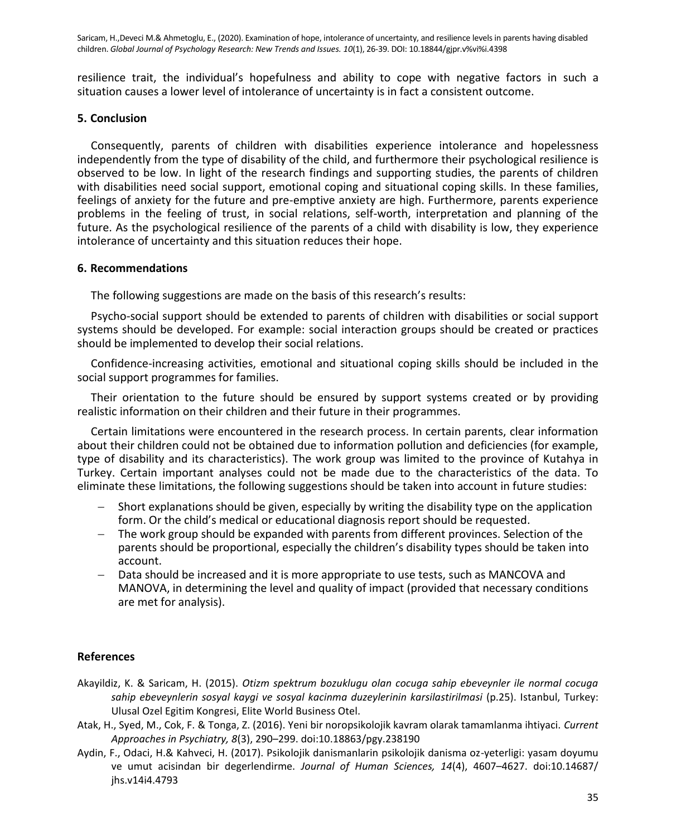resilience trait, the individual's hopefulness and ability to cope with negative factors in such a situation causes a lower level of intolerance of uncertainty is in fact a consistent outcome.

#### **5. Conclusion**

Consequently, parents of children with disabilities experience intolerance and hopelessness independently from the type of disability of the child, and furthermore their psychological resilience is observed to be low. In light of the research findings and supporting studies, the parents of children with disabilities need social support, emotional coping and situational coping skills. In these families, feelings of anxiety for the future and pre-emptive anxiety are high. Furthermore, parents experience problems in the feeling of trust, in social relations, self-worth, interpretation and planning of the future. As the psychological resilience of the parents of a child with disability is low, they experience intolerance of uncertainty and this situation reduces their hope.

#### **6. Recommendations**

The following suggestions are made on the basis of this research's results:

Psycho-social support should be extended to parents of children with disabilities or social support systems should be developed. For example: social interaction groups should be created or practices should be implemented to develop their social relations.

Confidence-increasing activities, emotional and situational coping skills should be included in the social support programmes for families.

Their orientation to the future should be ensured by support systems created or by providing realistic information on their children and their future in their programmes.

Certain limitations were encountered in the research process. In certain parents, clear information about their children could not be obtained due to information pollution and deficiencies (for example, type of disability and its characteristics). The work group was limited to the province of Kutahya in Turkey. Certain important analyses could not be made due to the characteristics of the data. To eliminate these limitations, the following suggestions should be taken into account in future studies:

- Short explanations should be given, especially by writing the disability type on the application form. Or the child's medical or educational diagnosis report should be requested.
- The work group should be expanded with parents from different provinces. Selection of the parents should be proportional, especially the children's disability types should be taken into account.
- Data should be increased and it is more appropriate to use tests, such as MANCOVA and MANOVA, in determining the level and quality of impact (provided that necessary conditions are met for analysis).

## **References**

- Akayildiz, K. & Saricam, H. (2015). *Otizm spektrum bozuklugu olan cocuga sahip ebeveynler ile normal cocuga sahip ebeveynlerin sosyal kaygi ve sosyal kacinma duzeylerinin karsilastirilmasi* (p.25). Istanbul, Turkey: Ulusal Ozel Egitim Kongresi, Elite World Business Otel.
- Atak, H., Syed, M., Cok, F. & Tonga, Z. (2016). Yeni bir noropsikolojik kavram olarak tamamlanma ihtiyaci. *Current Approaches in Psychiatry, 8*(3), 290–299. doi:10.18863/pgy.238190
- Aydin, F., Odaci, H.& Kahveci, H. (2017). Psikolojik danismanlarin psikolojik danisma oz-yeterligi: yasam doyumu ve umut acisindan bir degerlendirme. *Journal of Human Sciences, 14*(4), 4607–4627. doi:10.14687/ jhs.v14i4.4793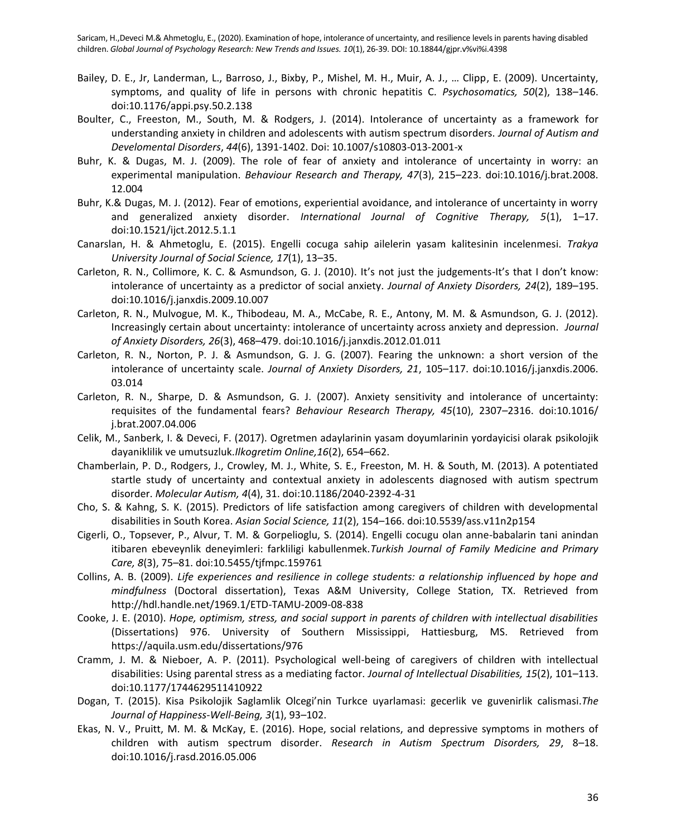- Bailey, D. E., Jr, Landerman, L., Barroso, J., Bixby, P., Mishel, M. H., Muir, A. J., … Clipp, E. (2009). Uncertainty, symptoms, and quality of life in persons with chronic hepatitis C. *Psychosomatics, 50*(2), 138–146. doi:10.1176/appi.psy.50.2.138
- Boulter, C., Freeston, M., South, M. & Rodgers, J. (2014). Intolerance of uncertainty as a framework for understanding anxiety in children and adolescents with autism spectrum disorders. *Journal of Autism and Develomental Disorders*, *44*(6), 1391-1402. Doi: 10.1007/s10803-013-2001-x
- Buhr, K. & Dugas, M. J. (2009). The role of fear of anxiety and intolerance of uncertainty in worry: an experimental manipulation. *Behaviour Research and Therapy, 47*(3), 215–223. doi:10.1016/j.brat.2008. 12.004
- Buhr, K.& Dugas, M. J. (2012). Fear of emotions, experiential avoidance, and intolerance of uncertainty in worry and generalized anxiety disorder. *International Journal of Cognitive Therapy, 5*(1), 1–17. doi:10.1521/ijct.2012.5.1.1
- Canarslan, H. & Ahmetoglu, E. (2015). Engelli cocuga sahip ailelerin yasam kalitesinin incelenmesi. *Trakya University Journal of Social Science, 17*(1), 13–35.
- Carleton, R. N., Collimore, K. C. & Asmundson, G. J. (2010). It's not just the judgements-It's that I don't know: intolerance of uncertainty as a predictor of social anxiety. *Journal of Anxiety Disorders, 24*(2), 189–195. doi:10.1016/j.janxdis.2009.10.007
- Carleton, R. N., Mulvogue, M. K., Thibodeau, M. A., McCabe, R. E., Antony, M. M. & Asmundson, G. J. (2012). Increasingly certain about uncertainty: intolerance of uncertainty across anxiety and depression. *Journal of Anxiety Disorders, 26*(3), 468–479. doi:10.1016/j.janxdis.2012.01.011
- Carleton, R. N., Norton, P. J. & Asmundson, G. J. G. (2007). Fearing the unknown: a short version of the intolerance of uncertainty scale. *Journal of Anxiety Disorders, 21*, 105–117. doi:10.1016/j.janxdis.2006. 03.014
- Carleton, R. N., Sharpe, D. & Asmundson, G. J. (2007). Anxiety sensitivity and intolerance of uncertainty: requisites of the fundamental fears? *Behaviour Research Therapy, 45*(10), 2307–2316. doi:10.1016/ j.brat.2007.04.006
- Celik, M., Sanberk, I. & Deveci, F. (2017). Ogretmen adaylarinin yasam doyumlarinin yordayicisi olarak psikolojik dayaniklilik ve umutsuzluk.*Ilkogretim Online,16*(2), 654–662.
- Chamberlain, P. D., Rodgers, J., Crowley, M. J., White, S. E., Freeston, M. H. & South, M. (2013). A potentiated startle study of uncertainty and contextual anxiety in adolescents diagnosed with autism spectrum disorder. *Molecular Autism, 4*(4), 31. doi:10.1186/2040-2392-4-31
- Cho, S. & Kahng, S. K. (2015). Predictors of life satisfaction among caregivers of children with developmental disabilities in South Korea. *Asian Social Science, 11*(2), 154–166. doi:10.5539/ass.v11n2p154
- Cigerli, O., Topsever, P., Alvur, T. M. & Gorpelioglu, S. (2014). Engelli cocugu olan anne-babalarin tani anindan itibaren ebeveynlik deneyimleri: farkliligi kabullenmek.*Turkish Journal of Family Medicine and Primary Care, 8*(3), 75–81. doi:10.5455/tjfmpc.159761
- Collins, A. B. (2009). *Life experiences and resilience in college students: a relationship influenced by hope and mindfulness* (Doctoral dissertation), Texas A&M University, College Station, TX. Retrieved from <http://hdl.handle.net/1969.1/ETD-TAMU-2009-08-838>
- Cooke, J. E. (2010). *Hope, optimism, stress, and social support in parents of children with intellectual disabilities* (Dissertations) 976. University of Southern Mississippi, Hattiesburg, MS. Retrieved from <https://aquila.usm.edu/dissertations/976>
- Cramm, J. M. & Nieboer, A. P. (2011). Psychological well-being of caregivers of children with intellectual disabilities: Using parental stress as a mediating factor. *Journal of Intellectual Disabilities, 15*(2), 101–113. doi:10.1177/1744629511410922
- Dogan, T. (2015). Kisa Psikolojik Saglamlik Olcegi'nin Turkce uyarlamasi: gecerlik ve guvenirlik calismasi.*The Journal of Happiness-Well-Being, 3*(1), 93–102.
- Ekas, N. V., Pruitt, M. M. & McKay, E. (2016). Hope, social relations, and depressive symptoms in mothers of children with autism spectrum disorder. *Research in Autism Spectrum Disorders, 29*, 8–18. doi:10.1016/j.rasd.2016.05.006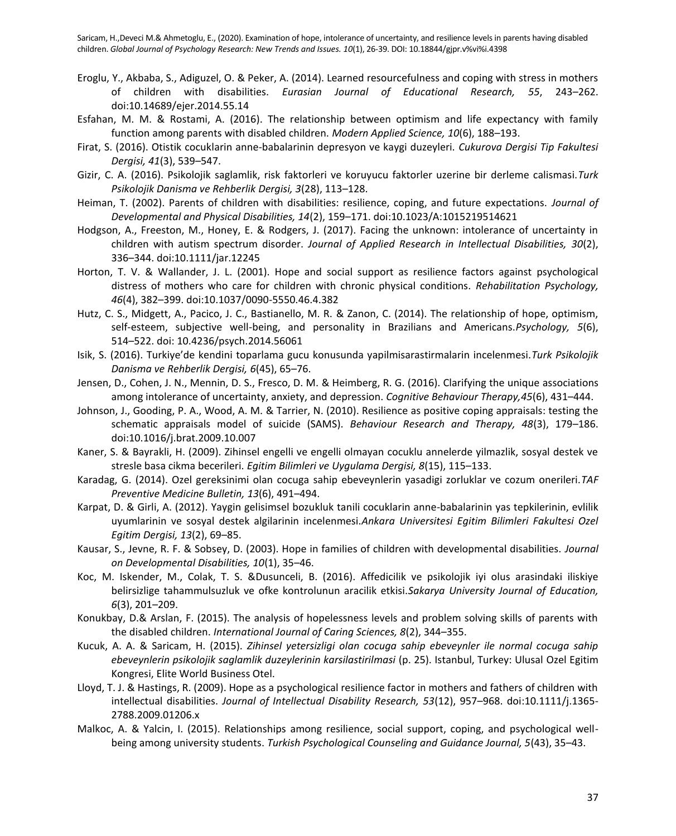- Eroglu, Y., Akbaba, S., Adiguzel, O. & Peker, A. (2014). Learned resourcefulness and coping with stress in mothers of children with disabilities. *Eurasian Journal of Educational Research, 55*, 243–262. doi:10.14689/ejer.2014.55.14
- Esfahan, M. M. & Rostami, A. (2016). The relationship between optimism and life expectancy with family function among parents with disabled children. *Modern Applied Science, 10*(6), 188–193.
- Firat, S. (2016). Otistik cocuklarin anne-babalarinin depresyon ve kaygi duzeyleri. *Cukurova Dergisi Tip Fakultesi Dergisi, 41*(3), 539–547.
- Gizir, C. A. (2016). Psikolojik saglamlik, risk faktorleri ve koruyucu faktorler uzerine bir derleme calismasi.*Turk Psikolojik Danisma ve Rehberlik Dergisi, 3*(28), 113–128.
- Heiman, T. (2002). Parents of children with disabilities: resilience, coping, and future expectations. *Journal of Developmental and Physical Disabilities, 14*(2), 159–171. doi:10.1023/A:1015219514621
- Hodgson, A., Freeston, M., Honey, E. & Rodgers, J. (2017). Facing the unknown: intolerance of uncertainty in children with autism spectrum disorder. *Journal of Applied Research in Intellectual Disabilities, 30*(2), 336–344. doi:10.1111/jar.12245
- Horton, T. V. & Wallander, J. L. (2001). Hope and social support as resilience factors against psychological distress of mothers who care for children with chronic physical conditions. *Rehabilitation Psychology, 46*(4), 382–399. doi:10.1037/0090-5550.46.4.382
- Hutz, C. S., Midgett, A., Pacico, J. C., Bastianello, M. R. & Zanon, C. (2014). The relationship of hope, optimism, self-esteem, subjective well-being, and personality in Brazilians and Americans.*Psychology, 5*(6), 514–522. doi: 10.4236/psych.2014.56061
- Isik, S. (2016). Turkiye'de kendini toparlama gucu konusunda yapilmisarastirmalarin incelenmesi.*Turk Psikolojik Danisma ve Rehberlik Dergisi, 6*(45), 65–76.
- Jensen, D., Cohen, J. N., Mennin, D. S., Fresco, D. M. & Heimberg, R. G. (2016). Clarifying the unique associations among intolerance of uncertainty, anxiety, and depression. *Cognitive Behaviour Therapy,45*(6), 431–444.
- Johnson, J., Gooding, P. A., Wood, A. M. & Tarrier, N. (2010). Resilience as positive coping appraisals: testing the schematic appraisals model of suicide (SAMS). *Behaviour Research and Therapy, 48*(3), 179–186. doi:10.1016/j.brat.2009.10.007
- Kaner, S. & Bayrakli, H. (2009). Zihinsel engelli ve engelli olmayan cocuklu annelerde yilmazlik, sosyal destek ve stresle basa cikma becerileri. *Egitim Bilimleri ve Uygulama Dergisi, 8*(15), 115–133.
- Karadag, G. (2014). Ozel gereksinimi olan cocuga sahip ebeveynlerin yasadigi zorluklar ve cozum onerileri.*TAF Preventive Medicine Bulletin, 13*(6), 491–494.
- Karpat, D. & Girli, A. (2012). Yaygin gelisimsel bozukluk tanili cocuklarin anne-babalarinin yas tepkilerinin, evlilik uyumlarinin ve sosyal destek algilarinin incelenmesi.*Ankara Universitesi Egitim Bilimleri Fakultesi Ozel Egitim Dergisi, 13*(2), 69–85.
- Kausar, S., Jevne, R. F. & Sobsey, D. (2003). Hope in families of children with developmental disabilities. *Journal on Developmental Disabilities, 10*(1), 35–46.
- Koc, M. Iskender, M., Colak, T. S. &Dusunceli, B. (2016). Affedicilik ve psikolojik iyi olus arasindaki iliskiye belirsizlige tahammulsuzluk ve ofke kontrolunun aracilik etkisi.*Sakarya University Journal of Education, 6*(3), 201–209.
- Konukbay, D.& Arslan, F. (2015). The analysis of hopelessness levels and problem solving skills of parents with the disabled children. *International Journal of Caring Sciences, 8*(2), 344–355.
- Kucuk, A. A. & Saricam, H. (2015). *Zihinsel yetersizligi olan cocuga sahip ebeveynler ile normal cocuga sahip ebeveynlerin psikolojik saglamlik duzeylerinin karsilastirilmasi* (p. 25). Istanbul, Turkey: Ulusal Ozel Egitim Kongresi, Elite World Business Otel.
- Lloyd, T. J. & Hastings, R. (2009). Hope as a psychological resilience factor in mothers and fathers of children with intellectual disabilities. *Journal of Intellectual Disability Research, 53*(12), 957–968. doi:10.1111/j.1365- 2788.2009.01206.x
- Malkoc, A. & Yalcin, I. (2015). Relationships among resilience, social support, coping, and psychological wellbeing among university students. *Turkish Psychological Counseling and Guidance Journal, 5*(43), 35–43.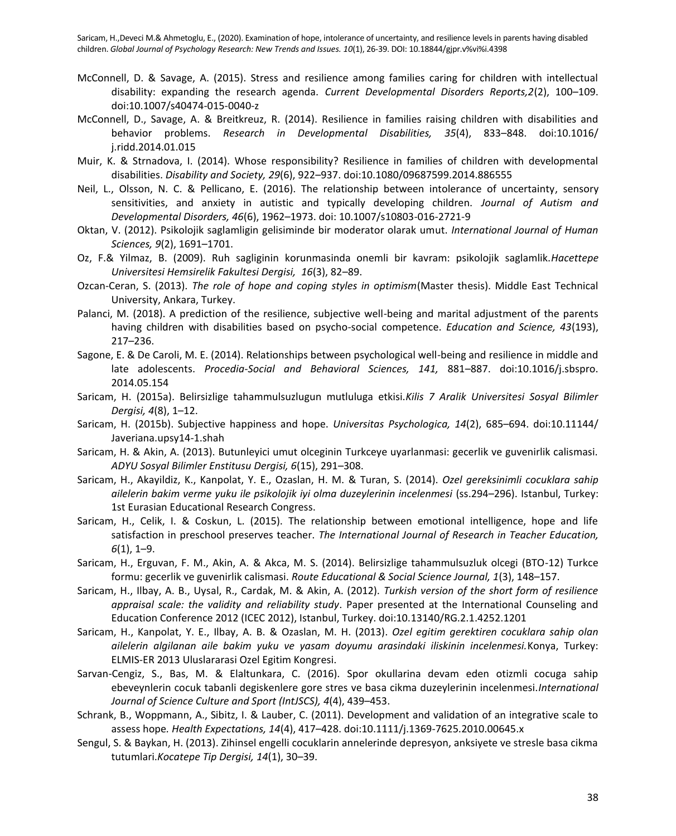- McConnell, D. & Savage, A. (2015). Stress and resilience among families caring for children with intellectual disability: expanding the research agenda. *Current Developmental Disorders Reports,2*(2), 100–109. doi:10.1007/s40474-015-0040-z
- McConnell, D., Savage, A. & Breitkreuz, R. (2014). Resilience in families raising children with disabilities and behavior problems. *Research in Developmental Disabilities, 35*(4), 833–848. doi:10.1016/ j.ridd.2014.01.015
- Muir, K. & Strnadova, I. (2014). Whose responsibility? Resilience in families of children with developmental disabilities. *Disability and Society, 29*(6), 922–937. doi:10.1080/09687599.2014.886555
- Neil, L., Olsson, N. C. & Pellicano, E. (2016). The relationship between intolerance of uncertainty, sensory sensitivities, and anxiety in autistic and typically developing children. *Journal of Autism and Developmental Disorders, 46*(6), 1962–1973. doi: 10.1007/s10803-016-2721-9
- Oktan, V. (2012). Psikolojik saglamligin gelisiminde bir moderator olarak umut. *International Journal of Human Sciences, 9*(2), 1691–1701.
- Oz, F.& Yilmaz, B. (2009). Ruh sagliginin korunmasinda onemli bir kavram: psikolojik saglamlik.*Hacettepe Universitesi Hemsirelik Fakultesi Dergisi, 16*(3), 82–89.
- Ozcan-Ceran, S. (2013). *The role of hope and coping styles in optimism*(Master thesis). Middle East Technical University, Ankara, Turkey.
- Palanci, M. (2018). A prediction of the resilience, subjective well-being and marital adjustment of the parents having children with disabilities based on psycho-social competence. *Education and Science, 43*(193), 217–236.
- Sagone, E. & De Caroli, M. E. (2014). Relationships between psychological well-being and resilience in middle and late adolescents. *Procedia-Social and Behavioral Sciences, 141,* 881–887. doi:10.1016/j.sbspro. 2014.05.154
- Saricam, H. (2015a). Belirsizlige tahammulsuzlugun mutluluga etkisi.*Kilis 7 Aralik Universitesi Sosyal Bilimler Dergisi, 4*(8), 1–12.
- Saricam, H. (2015b). Subjective happiness and hope. *Universitas Psychologica, 14*(2), 685–694. doi:10.11144/ Javeriana.upsy14-1.shah
- Saricam, H. & Akin, A. (2013). Butunleyici umut olceginin Turkceye uyarlanmasi: gecerlik ve guvenirlik calismasi. *ADYU Sosyal Bilimler Enstitusu Dergisi, 6*(15), 291–308.
- Saricam, H., Akayildiz, K., Kanpolat, Y. E., Ozaslan, H. M. & Turan, S. (2014). *Ozel gereksinimli cocuklara sahip ailelerin bakim verme yuku ile psikolojik iyi olma duzeylerinin incelenmesi* (ss.294–296). Istanbul, Turkey: 1st Eurasian Educational Research Congress.
- Saricam, H., Celik, I. & Coskun, L. (2015). The relationship between emotional intelligence, hope and life satisfaction in preschool preserves teacher. *The International Journal of Research in Teacher Education, 6*(1), 1–9.
- Saricam, H., Erguvan, F. M., Akin, A. & Akca, M. S. (2014). Belirsizlige tahammulsuzluk olcegi (BTO-12) Turkce formu: gecerlik ve guvenirlik calismasi. *Route Educational & Social Science Journal, 1*(3), 148–157.
- Saricam, H., Ilbay, A. B., Uysal, R., Cardak, M. & Akin, A. (2012). *Turkish version of the short form of resilience appraisal scale: the validity and reliability study*. Paper presented at the International Counseling and Education Conference 2012 (ICEC 2012), Istanbul, Turkey. doi:10.13140/RG.2.1.4252.1201
- Saricam, H., Kanpolat, Y. E., Ilbay, A. B. & Ozaslan, M. H. (2013). *Ozel egitim gerektiren cocuklara sahip olan ailelerin algilanan aile bakim yuku ve yasam doyumu arasindaki iliskinin incelenmesi.*Konya, Turkey: ELMIS-ER 2013 Uluslararasi Ozel Egitim Kongresi.
- Sarvan-Cengiz, S., Bas, M. & Elaltunkara, C. (2016). Spor okullarina devam eden otizmli cocuga sahip ebeveynlerin cocuk tabanli degiskenlere gore stres ve basa cikma duzeylerinin incelenmesi.*International Journal of Science Culture and Sport (IntJSCS), 4*(4), 439–453.
- Schrank, B., Woppmann, A., Sibitz, I. & Lauber, C. (2011). Development and validation of an integrative scale to assess hope*. Health Expectations, 14*(4), 417–428. doi:10.1111/j.1369-7625.2010.00645.x
- Sengul, S. & Baykan, H. (2013). Zihinsel engelli cocuklarin annelerinde depresyon, anksiyete ve stresle basa cikma tutumlari.*Kocatepe Tip Dergisi, 14*(1), 30–39.